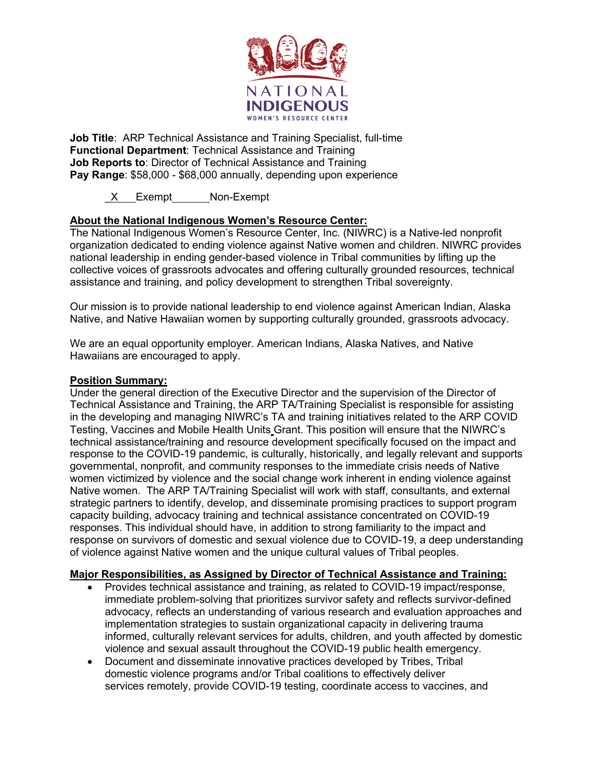

**Job Title**: ARP Technical Assistance and Training Specialist, full-time **Functional Department**: Technical Assistance and Training **Job Reports to**: Director of Technical Assistance and Training **Pay Range**: \$58,000 - \$68,000 annually, depending upon experience

X Exempt Non-Exempt

# **About the National Indigenous Women's Resource Center:**

The National Indigenous Women's Resource Center, Inc. (NIWRC) is a Native-led nonprofit organization dedicated to ending violence against Native women and children. NIWRC provides national leadership in ending gender-based violence in Tribal communities by lifting up the collective voices of grassroots advocates and offering culturally grounded resources, technical assistance and training, and policy development to strengthen Tribal sovereignty.

Our mission is to provide national leadership to end violence against American Indian, Alaska Native, and Native Hawaiian women by supporting culturally grounded, grassroots advocacy.

We are an equal opportunity employer. American Indians, Alaska Natives, and Native Hawaiians are encouraged to apply.

#### **Position Summary:**

Under the general direction of the Executive Director and the supervision of the Director of Technical Assistance and Training, the ARP TA/Training Specialist is responsible for assisting in the developing and managing NIWRC's TA and training initiatives related to the ARP COVID Testing, Vaccines and Mobile Health Units Grant. This position will ensure that the NIWRC's technical assistance/training and resource development specifically focused on the impact and response to the COVID-19 pandemic, is culturally, historically, and legally relevant and supports governmental, nonprofit, and community responses to the immediate crisis needs of Native women victimized by violence and the social change work inherent in ending violence against Native women. The ARP TA/Training Specialist will work with staff, consultants, and external strategic partners to identify, develop, and disseminate promising practices to support program capacity building, advocacy training and technical assistance concentrated on COVID-19 responses. This individual should have, in addition to strong familiarity to the impact and response on survivors of domestic and sexual violence due to COVID-19, a deep understanding of violence against Native women and the unique cultural values of Tribal peoples.

### **Major Responsibilities, as Assigned by Director of Technical Assistance and Training:**

- Provides technical assistance and training, as related to COVID-19 impact/response, immediate problem-solving that prioritizes survivor safety and reflects survivor-defined advocacy, reflects an understanding of various research and evaluation approaches and implementation strategies to sustain organizational capacity in delivering trauma informed, culturally relevant services for adults, children, and youth affected by domestic violence and sexual assault throughout the COVID-19 public health emergency.
- Document and disseminate innovative practices developed by Tribes, Tribal domestic violence programs and/or Tribal coalitions to effectively deliver services remotely, provide COVID-19 testing, coordinate access to vaccines, and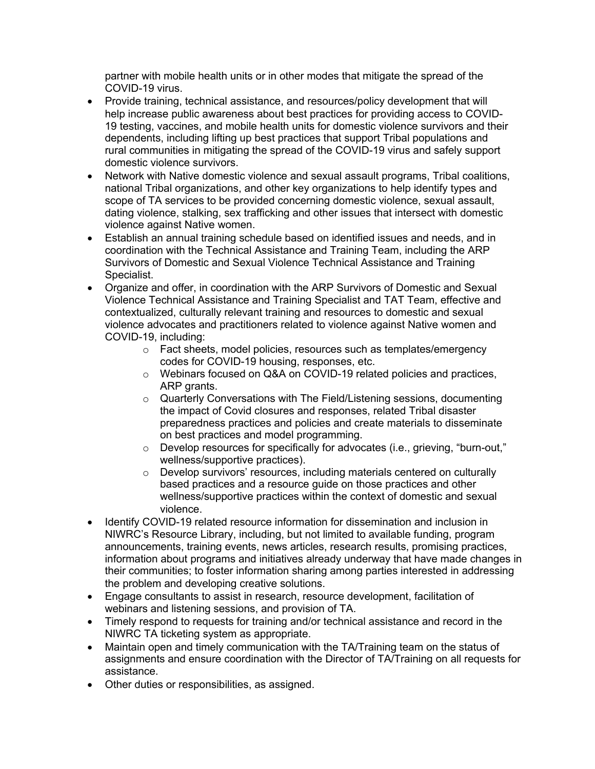partner with mobile health units or in other modes that mitigate the spread of the COVID-19 virus.

- Provide training, technical assistance, and resources/policy development that will help increase public awareness about best practices for providing access to COVID-19 testing, vaccines, and mobile health units for domestic violence survivors and their dependents, including lifting up best practices that support Tribal populations and rural communities in mitigating the spread of the COVID-19 virus and safely support domestic violence survivors.
- Network with Native domestic violence and sexual assault programs, Tribal coalitions, national Tribal organizations, and other key organizations to help identify types and scope of TA services to be provided concerning domestic violence, sexual assault, dating violence, stalking, sex trafficking and other issues that intersect with domestic violence against Native women.
- Establish an annual training schedule based on identified issues and needs, and in coordination with the Technical Assistance and Training Team, including the ARP Survivors of Domestic and Sexual Violence Technical Assistance and Training Specialist.
- Organize and offer, in coordination with the ARP Survivors of Domestic and Sexual Violence Technical Assistance and Training Specialist and TAT Team, effective and contextualized, culturally relevant training and resources to domestic and sexual violence advocates and practitioners related to violence against Native women and COVID-19, including:
	- o Fact sheets, model policies, resources such as templates/emergency codes for COVID-19 housing, responses, etc.
	- o Webinars focused on Q&A on COVID-19 related policies and practices, ARP grants.
	- $\circ$  Quarterly Conversations with The Field/Listening sessions, documenting the impact of Covid closures and responses, related Tribal disaster preparedness practices and policies and create materials to disseminate on best practices and model programming.
	- $\circ$  Develop resources for specifically for advocates (i.e., grieving, "burn-out," wellness/supportive practices).
	- o Develop survivors' resources, including materials centered on culturally based practices and a resource guide on those practices and other wellness/supportive practices within the context of domestic and sexual violence.
- Identify COVID-19 related resource information for dissemination and inclusion in NIWRC's Resource Library, including, but not limited to available funding, program announcements, training events, news articles, research results, promising practices, information about programs and initiatives already underway that have made changes in their communities; to foster information sharing among parties interested in addressing the problem and developing creative solutions.
- Engage consultants to assist in research, resource development, facilitation of webinars and listening sessions, and provision of TA.
- Timely respond to requests for training and/or technical assistance and record in the NIWRC TA ticketing system as appropriate.
- Maintain open and timely communication with the TA/Training team on the status of assignments and ensure coordination with the Director of TA/Training on all requests for assistance.
- Other duties or responsibilities, as assigned.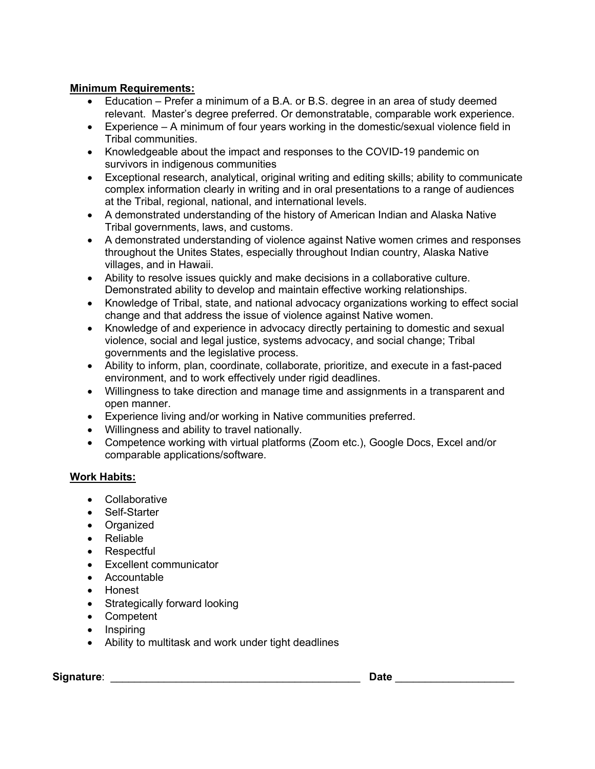## **Minimum Requirements:**

- Education Prefer a minimum of a B.A. or B.S. degree in an area of study deemed relevant. Master's degree preferred. Or demonstratable, comparable work experience.
- Experience A minimum of four years working in the domestic/sexual violence field in Tribal communities.
- Knowledgeable about the impact and responses to the COVID-19 pandemic on survivors in indigenous communities
- Exceptional research, analytical, original writing and editing skills; ability to communicate complex information clearly in writing and in oral presentations to a range of audiences at the Tribal, regional, national, and international levels.
- A demonstrated understanding of the history of American Indian and Alaska Native Tribal governments, laws, and customs.
- A demonstrated understanding of violence against Native women crimes and responses throughout the Unites States, especially throughout Indian country, Alaska Native villages, and in Hawaii.
- Ability to resolve issues quickly and make decisions in a collaborative culture. Demonstrated ability to develop and maintain effective working relationships.
- Knowledge of Tribal, state, and national advocacy organizations working to effect social change and that address the issue of violence against Native women.
- Knowledge of and experience in advocacy directly pertaining to domestic and sexual violence, social and legal justice, systems advocacy, and social change; Tribal governments and the legislative process.
- Ability to inform, plan, coordinate, collaborate, prioritize, and execute in a fast-paced environment, and to work effectively under rigid deadlines.
- Willingness to take direction and manage time and assignments in a transparent and open manner.
- Experience living and/or working in Native communities preferred.
- Willingness and ability to travel nationally.
- Competence working with virtual platforms (Zoom etc.), Google Docs, Excel and/or comparable applications/software.

### **Work Habits:**

- Collaborative
- Self-Starter
- Organized
- Reliable
- Respectful
- Excellent communicator
- Accountable
- Honest
- Strategically forward looking
- Competent
- Inspiring
- Ability to multitask and work under tight deadlines

**Signature**: \_\_\_\_\_\_\_\_\_\_\_\_\_\_\_\_\_\_\_\_\_\_\_\_\_\_\_\_\_\_\_\_\_\_\_\_\_\_\_\_\_\_ **Date** \_\_\_\_\_\_\_\_\_\_\_\_\_\_\_\_\_\_\_\_